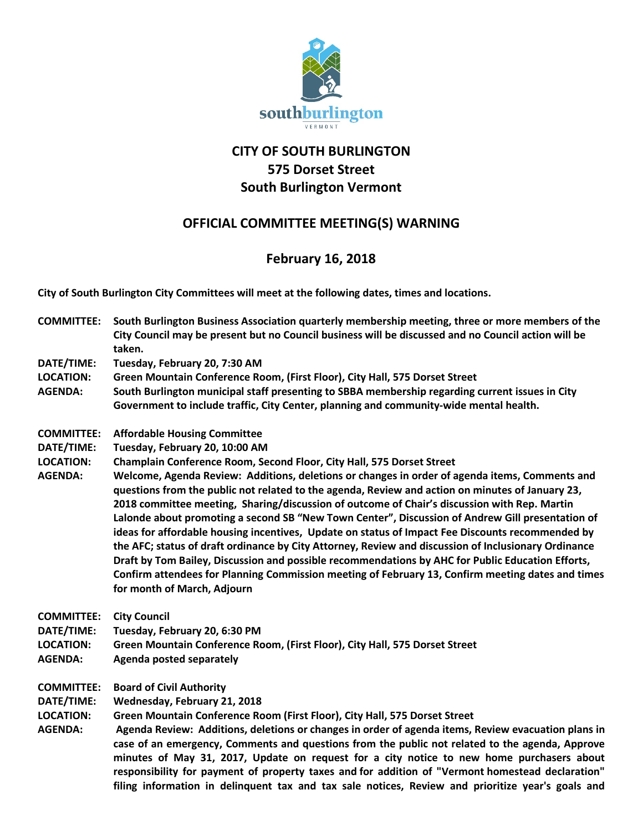

## **CITY OF SOUTH BURLINGTON 575 Dorset Street South Burlington Vermont**

## **OFFICIAL COMMITTEE MEETING(S) WARNING**

## **February 16, 2018**

**City of South Burlington City Committees will meet at the following dates, times and locations.** 

- **COMMITTEE: South Burlington Business Association quarterly membership meeting, three or more members of the City Council may be present but no Council business will be discussed and no Council action will be taken.**
- **DATE/TIME: Tuesday, February 20, 7:30 AM**
- **LOCATION: Green Mountain Conference Room, (First Floor), City Hall, 575 Dorset Street**
- **AGENDA: South Burlington municipal staff presenting to SBBA membership regarding current issues in City Government to include traffic, City Center, planning and community-wide mental health.**
- **COMMITTEE: Affordable Housing Committee**
- **DATE/TIME: Tuesday, February 20, 10:00 AM**
- **LOCATION: Champlain Conference Room, Second Floor, City Hall, 575 Dorset Street**
- **AGENDA: Welcome, Agenda Review: Additions, deletions or changes in order of agenda items, Comments and questions from the public not related to the agenda, Review and action on minutes of January 23, 2018 committee meeting, Sharing/discussion of outcome of Chair's discussion with Rep. Martin Lalonde about promoting a second SB "New Town Center", Discussion of Andrew Gill presentation of ideas for affordable housing incentives, Update on status of Impact Fee Discounts recommended by the AFC; status of draft ordinance by City Attorney, Review and discussion of Inclusionary Ordinance Draft by Tom Bailey, Discussion and possible recommendations by AHC for Public Education Efforts, Confirm attendees for Planning Commission meeting of February 13, Confirm meeting dates and times for month of March, Adjourn**

**COMMITTEE: City Council**

- **DATE/TIME: Tuesday, February 20, 6:30 PM**
- **LOCATION: Green Mountain Conference Room, (First Floor), City Hall, 575 Dorset Street**
- **AGENDA: Agenda posted separately**
- **COMMITTEE: Board of Civil Authority**

**DATE/TIME: Wednesday, February 21, 2018**

- **LOCATION: Green Mountain Conference Room (First Floor), City Hall, 575 Dorset Street**
- **AGENDA: Agenda Review: Additions, deletions or changes in order of agenda items, Review evacuation plans in case of an emergency, Comments and questions from the public not related to the agenda, Approve minutes of May 31, 2017, Update on request for a city notice to new home purchasers about responsibility for payment of property taxes and for addition of "Vermont homestead declaration" filing information in delinquent tax and tax sale notices, Review and prioritize year's goals and**